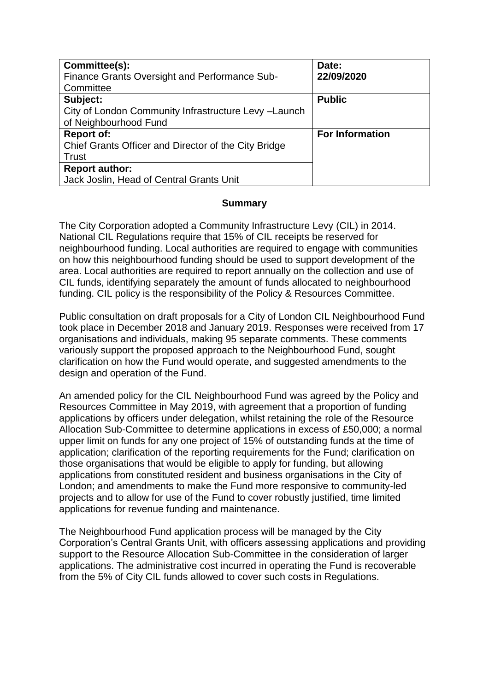| Committee(s):<br>Finance Grants Oversight and Performance Sub- | Date:<br>22/09/2020    |
|----------------------------------------------------------------|------------------------|
| Committee                                                      |                        |
| Subject:                                                       | <b>Public</b>          |
| City of London Community Infrastructure Levy -Launch           |                        |
| of Neighbourhood Fund                                          |                        |
| <b>Report of:</b>                                              | <b>For Information</b> |
| Chief Grants Officer and Director of the City Bridge           |                        |
| Trust                                                          |                        |
| <b>Report author:</b>                                          |                        |
| Jack Joslin, Head of Central Grants Unit                       |                        |

## **Summary**

The City Corporation adopted a Community Infrastructure Levy (CIL) in 2014. National CIL Regulations require that 15% of CIL receipts be reserved for neighbourhood funding. Local authorities are required to engage with communities on how this neighbourhood funding should be used to support development of the area. Local authorities are required to report annually on the collection and use of CIL funds, identifying separately the amount of funds allocated to neighbourhood funding. CIL policy is the responsibility of the Policy & Resources Committee.

Public consultation on draft proposals for a City of London CIL Neighbourhood Fund took place in December 2018 and January 2019. Responses were received from 17 organisations and individuals, making 95 separate comments. These comments variously support the proposed approach to the Neighbourhood Fund, sought clarification on how the Fund would operate, and suggested amendments to the design and operation of the Fund.

An amended policy for the CIL Neighbourhood Fund was agreed by the Policy and Resources Committee in May 2019, with agreement that a proportion of funding applications by officers under delegation, whilst retaining the role of the Resource Allocation Sub-Committee to determine applications in excess of £50,000; a normal upper limit on funds for any one project of 15% of outstanding funds at the time of application; clarification of the reporting requirements for the Fund; clarification on those organisations that would be eligible to apply for funding, but allowing applications from constituted resident and business organisations in the City of London; and amendments to make the Fund more responsive to community-led projects and to allow for use of the Fund to cover robustly justified, time limited applications for revenue funding and maintenance.

The Neighbourhood Fund application process will be managed by the City Corporation's Central Grants Unit, with officers assessing applications and providing support to the Resource Allocation Sub-Committee in the consideration of larger applications. The administrative cost incurred in operating the Fund is recoverable from the 5% of City CIL funds allowed to cover such costs in Regulations.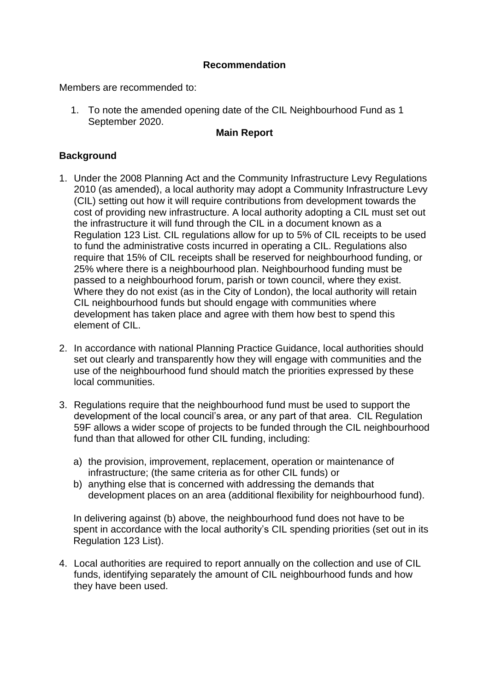## **Recommendation**

Members are recommended to:

1. To note the amended opening date of the CIL Neighbourhood Fund as 1 September 2020.

## **Main Report**

## **Background**

- 1. Under the 2008 Planning Act and the Community Infrastructure Levy Regulations 2010 (as amended), a local authority may adopt a Community Infrastructure Levy (CIL) setting out how it will require contributions from development towards the cost of providing new infrastructure. A local authority adopting a CIL must set out the infrastructure it will fund through the CIL in a document known as a Regulation 123 List. CIL regulations allow for up to 5% of CIL receipts to be used to fund the administrative costs incurred in operating a CIL. Regulations also require that 15% of CIL receipts shall be reserved for neighbourhood funding, or 25% where there is a neighbourhood plan. Neighbourhood funding must be passed to a neighbourhood forum, parish or town council, where they exist. Where they do not exist (as in the City of London), the local authority will retain CIL neighbourhood funds but should engage with communities where development has taken place and agree with them how best to spend this element of CIL.
- 2. In accordance with national Planning Practice Guidance, local authorities should set out clearly and transparently how they will engage with communities and the use of the neighbourhood fund should match the priorities expressed by these local communities.
- 3. Regulations require that the neighbourhood fund must be used to support the development of the local council's area, or any part of that area. CIL Regulation 59F allows a wider scope of projects to be funded through the CIL neighbourhood fund than that allowed for other CIL funding, including:
	- a) the provision, improvement, replacement, operation or maintenance of infrastructure; (the same criteria as for other CIL funds) or
	- b) anything else that is concerned with addressing the demands that development places on an area (additional flexibility for neighbourhood fund).

In delivering against (b) above, the neighbourhood fund does not have to be spent in accordance with the local authority's CIL spending priorities (set out in its Regulation 123 List).

4. Local authorities are required to report annually on the collection and use of CIL funds, identifying separately the amount of CIL neighbourhood funds and how they have been used.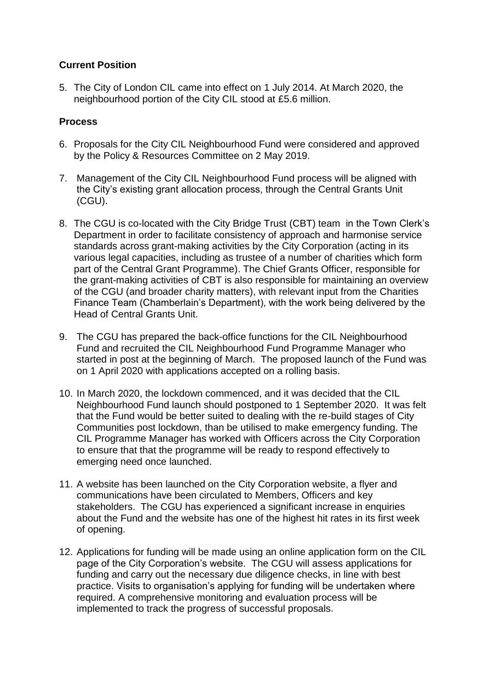# **Current Position**

5. The City of London CIL came into effect on 1 July 2014. At March 2020, the neighbourhood portion of the City CIL stood at £5.6 million.

## **Process**

- 6. Proposals for the City CIL Neighbourhood Fund were considered and approved by the Policy & Resources Committee on 2 May 2019.
- 7. Management of the City CIL Neighbourhood Fund process will be aligned with the City's existing grant allocation process, through the Central Grants Unit (CGU).
- 8. The CGU is co-located with the City Bridge Trust (CBT) team in the Town Clerk's Department in order to facilitate consistency of approach and harmonise service standards across grant-making activities by the City Corporation (acting in its various legal capacities, including as trustee of a number of charities which form part of the Central Grant Programme). The Chief Grants Officer, responsible for the grant-making activities of CBT is also responsible for maintaining an overview of the CGU (and broader charity matters), with relevant input from the Charities Finance Team (Chamberlain's Department), with the work being delivered by the Head of Central Grants Unit.
- 9. The CGU has prepared the back-office functions for the CIL Neighbourhood Fund and recruited the CIL Neighbourhood Fund Programme Manager who started in post at the beginning of March. The proposed launch of the Fund was on 1 April 2020 with applications accepted on a rolling basis.
- 10. In March 2020, the lockdown commenced, and it was decided that the CIL Neighbourhood Fund launch should postponed to 1 September 2020. It was felt that the Fund would be better suited to dealing with the re-build stages of City Communities post lockdown, than be utilised to make emergency funding. The CIL Programme Manager has worked with Officers across the City Corporation to ensure that that the programme will be ready to respond effectively to emerging need once launched.
- 11. A website has been launched on the City Corporation website, a flyer and communications have been circulated to Members, Officers and key stakeholders. The CGU has experienced a significant increase in enquiries about the Fund and the website has one of the highest hit rates in its first week of opening.
- 12. Applications for funding will be made using an online application form on the CIL page of the City Corporation's website. The CGU will assess applications for funding and carry out the necessary due diligence checks, in line with best practice. Visits to organisation's applying for funding will be undertaken where required. A comprehensive monitoring and evaluation process will be implemented to track the progress of successful proposals.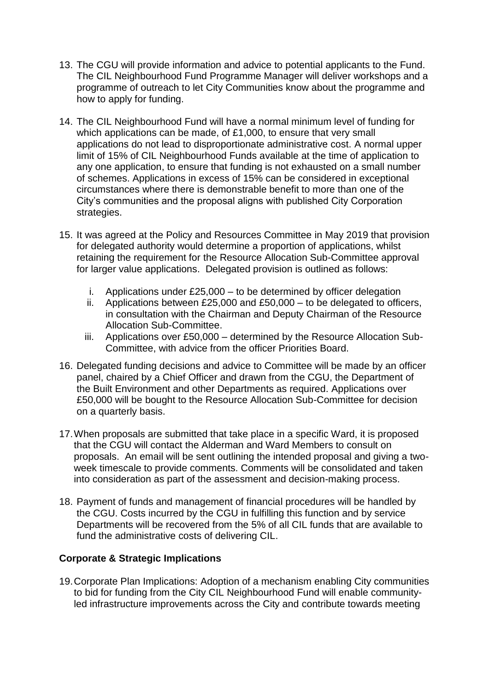- 13. The CGU will provide information and advice to potential applicants to the Fund. The CIL Neighbourhood Fund Programme Manager will deliver workshops and a programme of outreach to let City Communities know about the programme and how to apply for funding.
- 14. The CIL Neighbourhood Fund will have a normal minimum level of funding for which applications can be made, of £1,000, to ensure that very small applications do not lead to disproportionate administrative cost. A normal upper limit of 15% of CIL Neighbourhood Funds available at the time of application to any one application, to ensure that funding is not exhausted on a small number of schemes. Applications in excess of 15% can be considered in exceptional circumstances where there is demonstrable benefit to more than one of the City's communities and the proposal aligns with published City Corporation strategies.
- 15. It was agreed at the Policy and Resources Committee in May 2019 that provision for delegated authority would determine a proportion of applications, whilst retaining the requirement for the Resource Allocation Sub-Committee approval for larger value applications. Delegated provision is outlined as follows:
	- i. Applications under £25,000 to be determined by officer delegation
	- ii. Applications between £25,000 and £50,000 to be delegated to officers, in consultation with the Chairman and Deputy Chairman of the Resource Allocation Sub-Committee.
	- iii. Applications over £50,000 determined by the Resource Allocation Sub-Committee, with advice from the officer Priorities Board.
- 16. Delegated funding decisions and advice to Committee will be made by an officer panel, chaired by a Chief Officer and drawn from the CGU, the Department of the Built Environment and other Departments as required. Applications over £50,000 will be bought to the Resource Allocation Sub-Committee for decision on a quarterly basis.
- 17.When proposals are submitted that take place in a specific Ward, it is proposed that the CGU will contact the Alderman and Ward Members to consult on proposals. An email will be sent outlining the intended proposal and giving a twoweek timescale to provide comments. Comments will be consolidated and taken into consideration as part of the assessment and decision-making process.
- 18. Payment of funds and management of financial procedures will be handled by the CGU. Costs incurred by the CGU in fulfilling this function and by service Departments will be recovered from the 5% of all CIL funds that are available to fund the administrative costs of delivering CIL.

#### **Corporate & Strategic Implications**

19.Corporate Plan Implications: Adoption of a mechanism enabling City communities to bid for funding from the City CIL Neighbourhood Fund will enable communityled infrastructure improvements across the City and contribute towards meeting